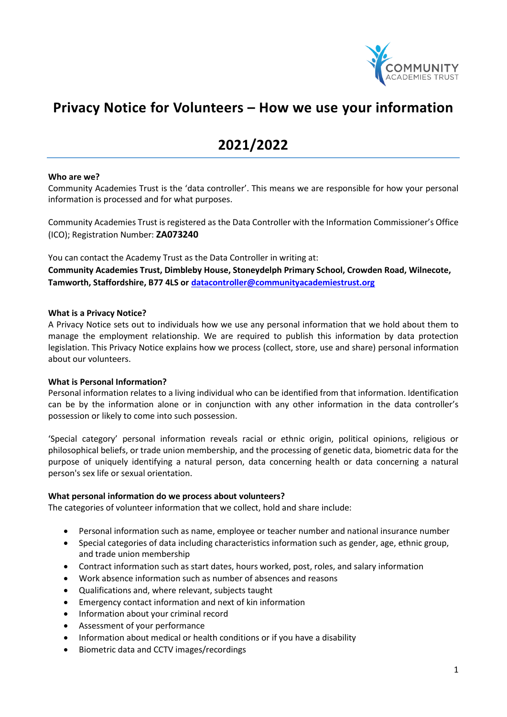

# **Privacy Notice for Volunteers – How we use your information**

# **2021/2022**

#### **Who are we?**

Community Academies Trust is the 'data controller'. This means we are responsible for how your personal information is processed and for what purposes.

Community Academies Trust is registered as the Data Controller with the Information Commissioner's Office (ICO); Registration Number: **ZA073240**

You can contact the Academy Trust as the Data Controller in writing at:

**Community Academies Trust, Dimbleby House, Stoneydelph Primary School, Crowden Road, Wilnecote, Tamworth, Staffordshire, B77 4LS or [datacontroller@communityacademiestrust.org](mailto:datacontroller@communityacademiestrust.org)**

#### **What is a Privacy Notice?**

A Privacy Notice sets out to individuals how we use any personal information that we hold about them to manage the employment relationship. We are required to publish this information by data protection legislation. This Privacy Notice explains how we process (collect, store, use and share) personal information about our volunteers.

## **What is Personal Information?**

Personal information relates to a living individual who can be identified from that information. Identification can be by the information alone or in conjunction with any other information in the data controller's possession or likely to come into such possession.

'Special category' personal information reveals racial or ethnic origin, political opinions, religious or philosophical beliefs, or trade union membership, and the processing of genetic data, biometric data for the purpose of uniquely identifying a natural person, data concerning health or data concerning a natural person's sex life or sexual orientation.

#### **What personal information do we process about volunteers?**

The categories of volunteer information that we collect, hold and share include:

- Personal information such as name, employee or teacher number and national insurance number
- Special categories of data including characteristics information such as gender, age, ethnic group, and trade union membership
- Contract information such as start dates, hours worked, post, roles, and salary information
- Work absence information such as number of absences and reasons
- Qualifications and, where relevant, subjects taught
- Emergency contact information and next of kin information
- Information about your criminal record
- Assessment of your performance
- Information about medical or health conditions or if you have a disability
- Biometric data and CCTV images/recordings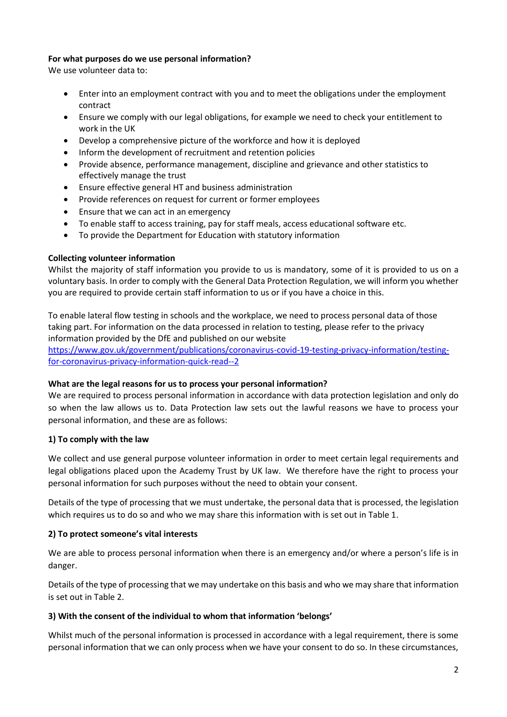# **For what purposes do we use personal information?**

We use volunteer data to:

- Enter into an employment contract with you and to meet the obligations under the employment contract
- Ensure we comply with our legal obligations, for example we need to check your entitlement to work in the UK
- Develop a comprehensive picture of the workforce and how it is deployed
- Inform the development of recruitment and retention policies
- Provide absence, performance management, discipline and grievance and other statistics to effectively manage the trust
- Ensure effective general HT and business administration
- Provide references on request for current or former employees
- Ensure that we can act in an emergency
- To enable staff to access training, pay for staff meals, access educational software etc.
- To provide the Department for Education with statutory information

## **Collecting volunteer information**

Whilst the majority of staff information you provide to us is mandatory, some of it is provided to us on a voluntary basis. In order to comply with the General Data Protection Regulation, we will inform you whether you are required to provide certain staff information to us or if you have a choice in this.

To enable lateral flow testing in schools and the workplace, we need to process personal data of those taking part. For information on the data processed in relation to testing, please refer to the privacy information provided by the DfE and published on our website

[https://www.gov.uk/government/publications/coronavirus-covid-19-testing-privacy-information/testing](https://www.gov.uk/government/publications/coronavirus-covid-19-testing-privacy-information/testing-for-coronavirus-privacy-information-quick-read--2)[for-coronavirus-privacy-information-quick-read--2](https://www.gov.uk/government/publications/coronavirus-covid-19-testing-privacy-information/testing-for-coronavirus-privacy-information-quick-read--2)

## **What are the legal reasons for us to process your personal information?**

We are required to process personal information in accordance with data protection legislation and only do so when the law allows us to. Data Protection law sets out the lawful reasons we have to process your personal information, and these are as follows:

## **1) To comply with the law**

We collect and use general purpose volunteer information in order to meet certain legal requirements and legal obligations placed upon the Academy Trust by UK law. We therefore have the right to process your personal information for such purposes without the need to obtain your consent.

Details of the type of processing that we must undertake, the personal data that is processed, the legislation which requires us to do so and who we may share this information with is set out in Table 1.

## **2) To protect someone's vital interests**

We are able to process personal information when there is an emergency and/or where a person's life is in danger.

Details of the type of processing that we may undertake on this basis and who we may share that information is set out in Table 2.

## **3) With the consent of the individual to whom that information 'belongs'**

Whilst much of the personal information is processed in accordance with a legal requirement, there is some personal information that we can only process when we have your consent to do so. In these circumstances,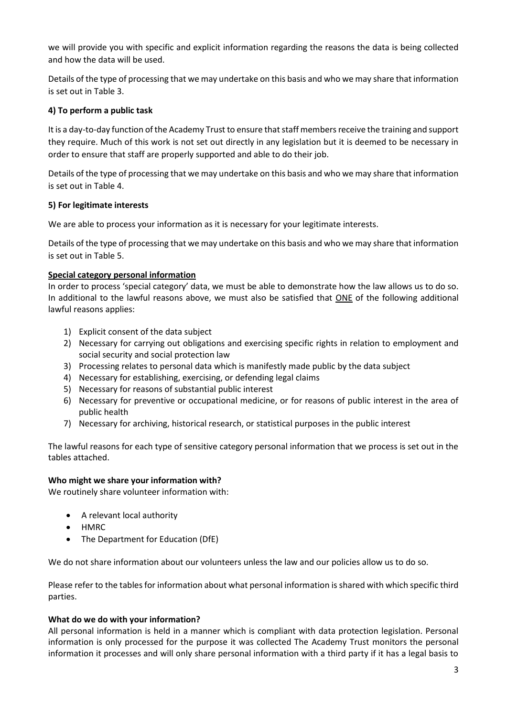we will provide you with specific and explicit information regarding the reasons the data is being collected and how the data will be used.

Details of the type of processing that we may undertake on this basis and who we may share that information is set out in Table 3.

# **4) To perform a public task**

It is a day-to-day function of the Academy Trust to ensure that staff members receive the training and support they require. Much of this work is not set out directly in any legislation but it is deemed to be necessary in order to ensure that staff are properly supported and able to do their job.

Details of the type of processing that we may undertake on this basis and who we may share that information is set out in Table 4.

## **5) For legitimate interests**

We are able to process your information as it is necessary for your legitimate interests.

Details of the type of processing that we may undertake on this basis and who we may share that information is set out in Table 5.

## **Special category personal information**

In order to process 'special category' data, we must be able to demonstrate how the law allows us to do so. In additional to the lawful reasons above, we must also be satisfied that ONE of the following additional lawful reasons applies:

- 1) Explicit consent of the data subject
- 2) Necessary for carrying out obligations and exercising specific rights in relation to employment and social security and social protection law
- 3) Processing relates to personal data which is manifestly made public by the data subject
- 4) Necessary for establishing, exercising, or defending legal claims
- 5) Necessary for reasons of substantial public interest
- 6) Necessary for preventive or occupational medicine, or for reasons of public interest in the area of public health
- 7) Necessary for archiving, historical research, or statistical purposes in the public interest

The lawful reasons for each type of sensitive category personal information that we process is set out in the tables attached.

## **Who might we share your information with?**

We routinely share volunteer information with:

- A relevant local authority
- HMRC
- The Department for Education (DfE)

We do not share information about our volunteers unless the law and our policies allow us to do so.

Please refer to the tables for information about what personal information is shared with which specific third parties.

## **What do we do with your information?**

All personal information is held in a manner which is compliant with data protection legislation. Personal information is only processed for the purpose it was collected The Academy Trust monitors the personal information it processes and will only share personal information with a third party if it has a legal basis to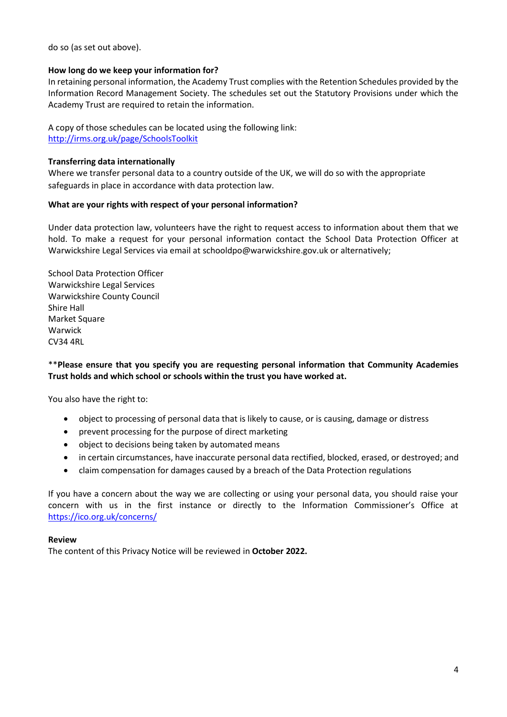do so (as set out above).

## **How long do we keep your information for?**

In retaining personal information, the Academy Trust complies with the Retention Schedules provided by the Information Record Management Society. The schedules set out the Statutory Provisions under which the Academy Trust are required to retain the information.

A copy of those schedules can be located using the following link: <http://irms.org.uk/page/SchoolsToolkit>

## **Transferring data internationally**

Where we transfer personal data to a country outside of the UK, we will do so with the appropriate safeguards in place in accordance with data protection law.

## **What are your rights with respect of your personal information?**

Under data protection law, volunteers have the right to request access to information about them that we hold. To make a request for your personal information contact the School Data Protection Officer at Warwickshire Legal Services via email at [schooldpo@warwickshire.gov.uk](mailto:schooldpo@warwickshire.gov.uk) or alternatively;

School Data Protection Officer Warwickshire Legal Services Warwickshire County Council Shire Hall Market Square Warwick CV34 4RL

# \*\***Please ensure that you specify you are requesting personal information that Community Academies Trust holds and which school or schools within the trust you have worked at.**

You also have the right to:

- object to processing of personal data that is likely to cause, or is causing, damage or distress
- prevent processing for the purpose of direct marketing
- object to decisions being taken by automated means
- in certain circumstances, have inaccurate personal data rectified, blocked, erased, or destroyed; and
- claim compensation for damages caused by a breach of the Data Protection regulations

If you have a concern about the way we are collecting or using your personal data, you should raise your concern with us in the first instance or directly to the Information Commissioner's Office at <https://ico.org.uk/concerns/>

## **Review**

The content of this Privacy Notice will be reviewed in **October 2022.**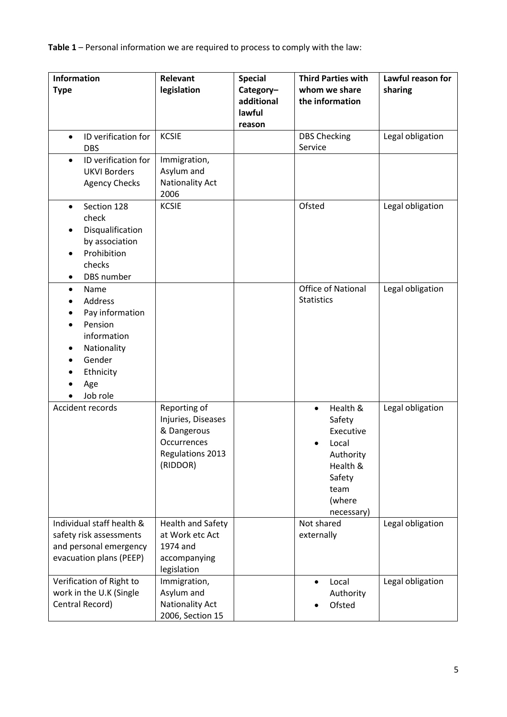**Table 1** – Personal information we are required to process to comply with the law:

| <b>Information</b><br><b>Type</b>                                                                                                  | Relevant<br>legislation                                                                          | <b>Special</b><br>Category-    | <b>Third Parties with</b><br>whom we share                                                                               | Lawful reason for<br>sharing |
|------------------------------------------------------------------------------------------------------------------------------------|--------------------------------------------------------------------------------------------------|--------------------------------|--------------------------------------------------------------------------------------------------------------------------|------------------------------|
|                                                                                                                                    |                                                                                                  | additional<br>lawful<br>reason | the information                                                                                                          |                              |
| ID verification for<br><b>DBS</b>                                                                                                  | <b>KCSIE</b>                                                                                     |                                | <b>DBS Checking</b><br>Service                                                                                           | Legal obligation             |
| ID verification for<br>$\bullet$<br><b>UKVI Borders</b><br><b>Agency Checks</b>                                                    | Immigration,<br>Asylum and<br>Nationality Act<br>2006                                            |                                |                                                                                                                          |                              |
| Section 128<br>$\bullet$<br>check<br>Disqualification<br>by association<br>Prohibition<br>checks<br>DBS number<br>٠                | <b>KCSIE</b>                                                                                     |                                | Ofsted                                                                                                                   | Legal obligation             |
| Name<br>$\bullet$<br>Address<br>Pay information<br>Pension<br>information<br>Nationality<br>Gender<br>Ethnicity<br>Age<br>Job role |                                                                                                  |                                | <b>Office of National</b><br><b>Statistics</b>                                                                           | Legal obligation             |
| Accident records                                                                                                                   | Reporting of<br>Injuries, Diseases<br>& Dangerous<br>Occurrences<br>Regulations 2013<br>(RIDDOR) |                                | Health &<br>$\bullet$<br>Safety<br>Executive<br>Local<br>Authority<br>Health &<br>Safety<br>team<br>(where<br>necessary) | Legal obligation             |
| Individual staff health &<br>safety risk assessments<br>and personal emergency<br>evacuation plans (PEEP)                          | Health and Safety<br>at Work etc Act<br>1974 and<br>accompanying<br>legislation                  |                                | Not shared<br>externally                                                                                                 | Legal obligation             |
| Verification of Right to<br>work in the U.K (Single<br>Central Record)                                                             | Immigration,<br>Asylum and<br><b>Nationality Act</b><br>2006, Section 15                         |                                | Local<br>Authority<br>Ofsted                                                                                             | Legal obligation             |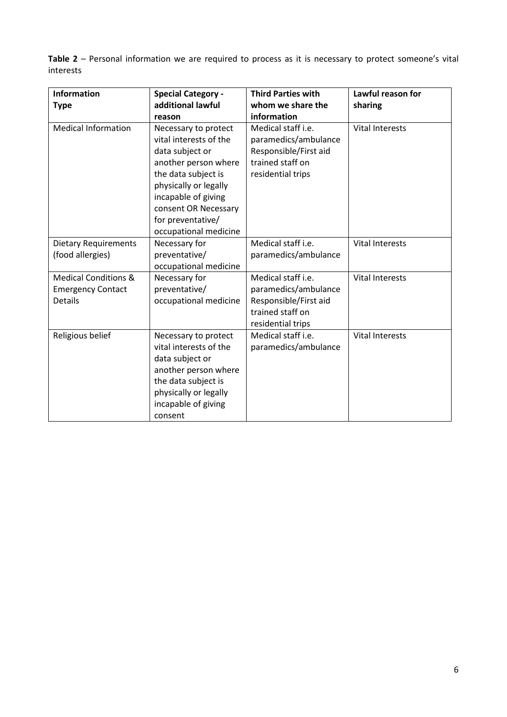**Table 2** – Personal information we are required to process as it is necessary to protect someone's vital interests

| <b>Information</b><br><b>Type</b>                                             | <b>Special Category -</b><br>additional lawful<br>reason                                                                                                                                                                               | <b>Third Parties with</b><br>whom we share the<br>information                                                | Lawful reason for<br>sharing |
|-------------------------------------------------------------------------------|----------------------------------------------------------------------------------------------------------------------------------------------------------------------------------------------------------------------------------------|--------------------------------------------------------------------------------------------------------------|------------------------------|
| <b>Medical Information</b>                                                    | Necessary to protect<br>vital interests of the<br>data subject or<br>another person where<br>the data subject is<br>physically or legally<br>incapable of giving<br>consent OR Necessary<br>for preventative/<br>occupational medicine | Medical staff i.e.<br>paramedics/ambulance<br>Responsible/First aid<br>trained staff on<br>residential trips | <b>Vital Interests</b>       |
| <b>Dietary Requirements</b><br>(food allergies)                               | Necessary for<br>preventative/<br>occupational medicine                                                                                                                                                                                | Medical staff i.e.<br>paramedics/ambulance                                                                   | <b>Vital Interests</b>       |
| <b>Medical Conditions &amp;</b><br><b>Emergency Contact</b><br><b>Details</b> | Necessary for<br>preventative/<br>occupational medicine                                                                                                                                                                                | Medical staff i.e.<br>paramedics/ambulance<br>Responsible/First aid<br>trained staff on<br>residential trips | <b>Vital Interests</b>       |
| Religious belief                                                              | Necessary to protect<br>vital interests of the<br>data subject or<br>another person where<br>the data subject is<br>physically or legally<br>incapable of giving<br>consent                                                            | Medical staff i.e.<br>paramedics/ambulance                                                                   | <b>Vital Interests</b>       |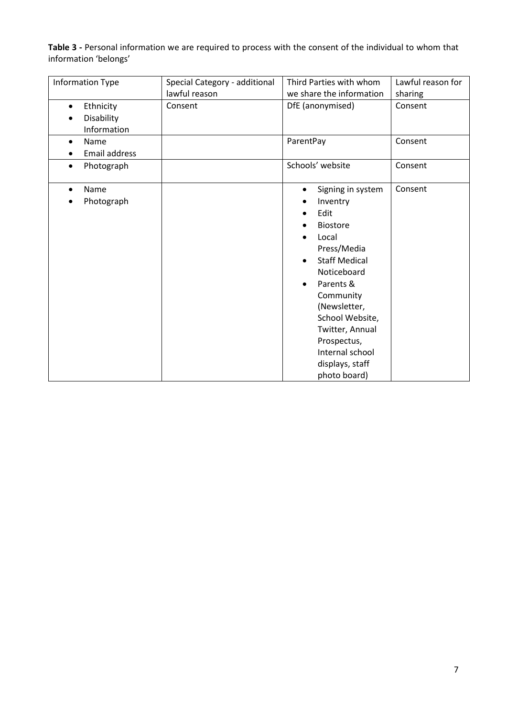**Table 3 -** Personal information we are required to process with the consent of the individual to whom that information 'belongs'

| Information Type                                    | Special Category - additional | Third Parties with whom                                                                                                                                                                                                                                                                                             | Lawful reason for |
|-----------------------------------------------------|-------------------------------|---------------------------------------------------------------------------------------------------------------------------------------------------------------------------------------------------------------------------------------------------------------------------------------------------------------------|-------------------|
|                                                     | lawful reason                 | we share the information                                                                                                                                                                                                                                                                                            | sharing           |
| Ethnicity<br>$\bullet$<br>Disability<br>Information | Consent                       | DfE (anonymised)                                                                                                                                                                                                                                                                                                    | Consent           |
| Name<br>$\bullet$<br>Email address                  |                               | ParentPay                                                                                                                                                                                                                                                                                                           | Consent           |
| Photograph<br>٠                                     |                               | Schools' website                                                                                                                                                                                                                                                                                                    | Consent           |
| Name<br>Photograph                                  |                               | Signing in system<br>$\bullet$<br>Inventry<br>Edit<br><b>Biostore</b><br>Local<br>Press/Media<br><b>Staff Medical</b><br>$\bullet$<br>Noticeboard<br>Parents &<br>$\bullet$<br>Community<br>(Newsletter,<br>School Website,<br>Twitter, Annual<br>Prospectus,<br>Internal school<br>displays, staff<br>photo board) | Consent           |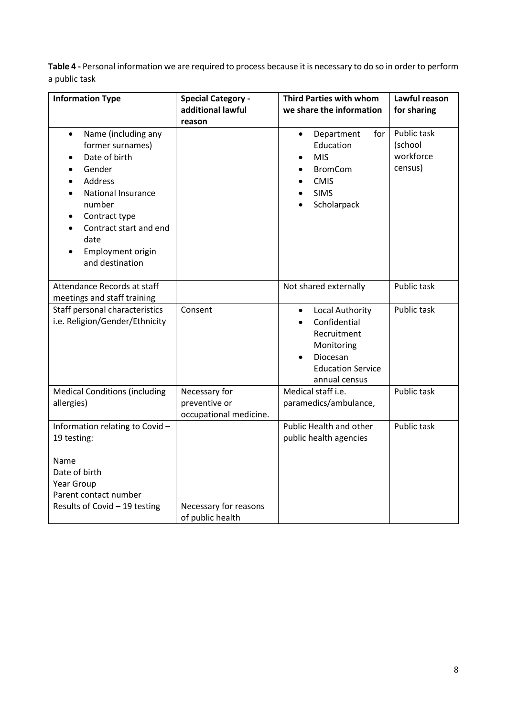**Table 4 -** Personal information we are required to process because it is necessary to do so in order to perform a public task

| <b>Information Type</b>                                                                                                                                                                                               | <b>Special Category -</b><br>additional lawful<br>reason | <b>Third Parties with whom</b><br>we share the information                                                                         | Lawful reason<br>for sharing                   |
|-----------------------------------------------------------------------------------------------------------------------------------------------------------------------------------------------------------------------|----------------------------------------------------------|------------------------------------------------------------------------------------------------------------------------------------|------------------------------------------------|
| Name (including any<br>$\bullet$<br>former surnames)<br>Date of birth<br>Gender<br>Address<br>National Insurance<br>number<br>Contract type<br>Contract start and end<br>date<br>Employment origin<br>and destination |                                                          | Department<br>for<br>$\bullet$<br>Education<br><b>MIS</b><br><b>BromCom</b><br><b>CMIS</b><br><b>SIMS</b><br>Scholarpack           | Public task<br>(school<br>workforce<br>census) |
| Attendance Records at staff<br>meetings and staff training                                                                                                                                                            |                                                          | Not shared externally                                                                                                              | Public task                                    |
| Staff personal characteristics<br>i.e. Religion/Gender/Ethnicity                                                                                                                                                      | Consent                                                  | Local Authority<br>$\bullet$<br>Confidential<br>Recruitment<br>Monitoring<br>Diocesan<br><b>Education Service</b><br>annual census | Public task                                    |
| <b>Medical Conditions (including</b><br>allergies)                                                                                                                                                                    | Necessary for<br>preventive or<br>occupational medicine. | Medical staff i.e.<br>paramedics/ambulance,                                                                                        | Public task                                    |
| Information relating to Covid-<br>19 testing:                                                                                                                                                                         |                                                          | Public Health and other<br>public health agencies                                                                                  | Public task                                    |
| Name<br>Date of birth<br>Year Group<br>Parent contact number<br>Results of Covid - 19 testing                                                                                                                         | Necessary for reasons<br>of public health                |                                                                                                                                    |                                                |